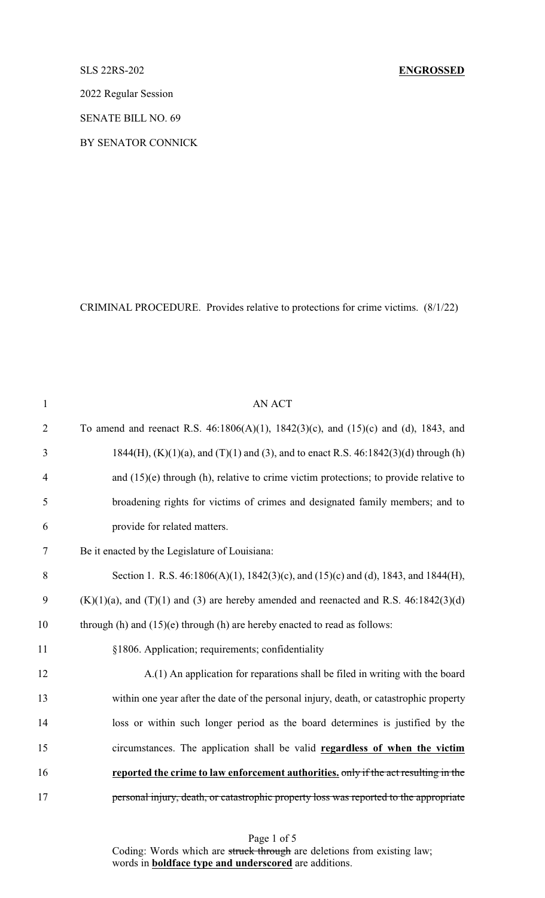## SLS 22RS-202 **ENGROSSED**

2022 Regular Session

SENATE BILL NO. 69

BY SENATOR CONNICK

CRIMINAL PROCEDURE. Provides relative to protections for crime victims. (8/1/22)

| $\mathbf{1}$   | <b>AN ACT</b>                                                                                   |
|----------------|-------------------------------------------------------------------------------------------------|
| $\overline{2}$ | To amend and reenact R.S. $46:1806(A)(1)$ , $1842(3)(c)$ , and $(15)(c)$ and $(d)$ , 1843, and  |
| $\mathfrak{Z}$ | $1844(H)$ , (K)(1)(a), and (T)(1) and (3), and to enact R.S. 46:1842(3)(d) through (h)          |
| 4              | and $(15)(e)$ through (h), relative to crime victim protections; to provide relative to         |
| 5              | broadening rights for victims of crimes and designated family members; and to                   |
| 6              | provide for related matters.                                                                    |
| $\tau$         | Be it enacted by the Legislature of Louisiana:                                                  |
| 8              | Section 1. R.S. 46:1806(A)(1), 1842(3)(c), and (15)(c) and (d), 1843, and 1844(H),              |
| 9              | $(K)(1)(a)$ , and $(T)(1)$ and $(3)$ are hereby amended and reenacted and R.S. 46:1842 $(3)(d)$ |
| 10             | through $(h)$ and $(15)(e)$ through $(h)$ are hereby enacted to read as follows:                |
| 11             | §1806. Application; requirements; confidentiality                                               |
| 12             | A.(1) An application for reparations shall be filed in writing with the board                   |
| 13             | within one year after the date of the personal injury, death, or catastrophic property          |
| 14             | loss or within such longer period as the board determines is justified by the                   |
| 15             | circumstances. The application shall be valid regardless of when the victim                     |
| 16             | reported the crime to law enforcement authorities. only if the act resulting in the             |
| 17             | personal injury, death, or catastrophic property loss was reported to the appropriate           |

Page 1 of 5 Coding: Words which are struck through are deletions from existing law; words in **boldface type and underscored** are additions.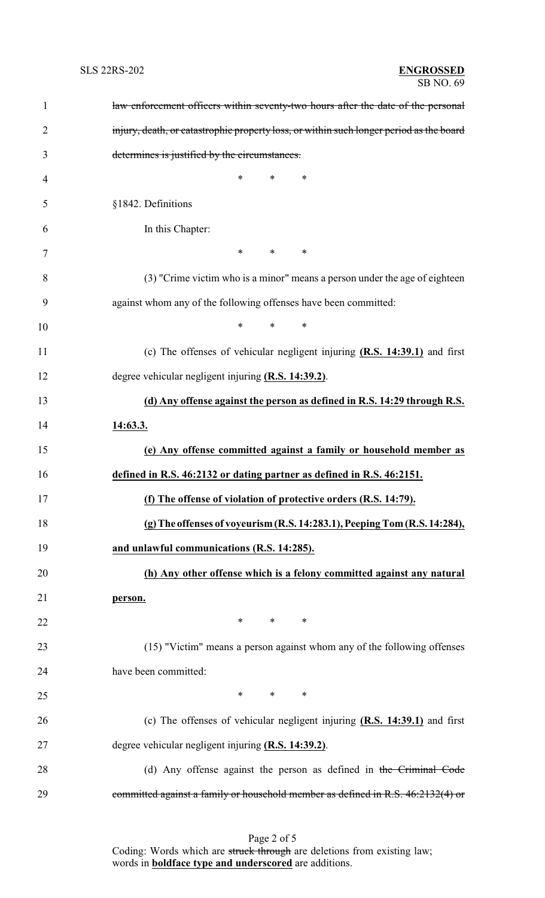| $\mathbf{1}$   | law enforcement officers within seventy-two hours after the date of the personal        |
|----------------|-----------------------------------------------------------------------------------------|
| $\overline{2}$ | injury, death, or catastrophic property loss, or within such longer period as the board |
| 3              | determines is justified by the circumstances.                                           |
| 4              | *<br>*<br>∗                                                                             |
| 5              | §1842. Definitions                                                                      |
| 6              | In this Chapter:                                                                        |
| 7              | $\ast$<br>$\ast$<br>∗                                                                   |
| 8              | (3) "Crime victim who is a minor" means a person under the age of eighteen              |
| 9              | against whom any of the following offenses have been committed:                         |
| 10             | $\ast$<br>$\ast$<br>∗                                                                   |
| 11             | (c) The offenses of vehicular negligent injuring $(R.S. 14:39.1)$ and first             |
| 12             | degree vehicular negligent injuring (R.S. 14:39.2).                                     |
| 13             | (d) Any offense against the person as defined in R.S. 14:29 through R.S.                |
| 14             | 14:63.3.                                                                                |
| 15             | (e) Any offense committed against a family or household member as                       |
| 16             | defined in R.S. 46:2132 or dating partner as defined in R.S. 46:2151.                   |
| 17             | (f) The offense of violation of protective orders (R.S. 14:79).                         |
| 18             | (g) The offenses of voyeurism (R.S. 14:283.1), Peeping Tom (R.S. 14:284),               |
| 19             | and unlawful communications (R.S. 14:285).                                              |
| 20             | (h) Any other offense which is a felony committed against any natural                   |
| 21             | person.                                                                                 |
| 22             | $*$ $*$<br>$*$ and $*$<br>∗                                                             |
| 23             | (15) "Victim" means a person against whom any of the following offenses                 |
| 24             | have been committed:                                                                    |
| 25             | $*$ $*$<br>$*$<br>$\ast$                                                                |
| 26             | (c) The offenses of vehicular negligent injuring $(R.S. 14:39.1)$ and first             |
| 27             | degree vehicular negligent injuring (R.S. 14:39.2).                                     |
| 28             | (d) Any offense against the person as defined in the Criminal Code                      |
| 29             | committed against a family or household member as defined in R.S. 46:2132(4) or         |

Page 2 of 5 Coding: Words which are struck through are deletions from existing law; words in **boldface type and underscored** are additions.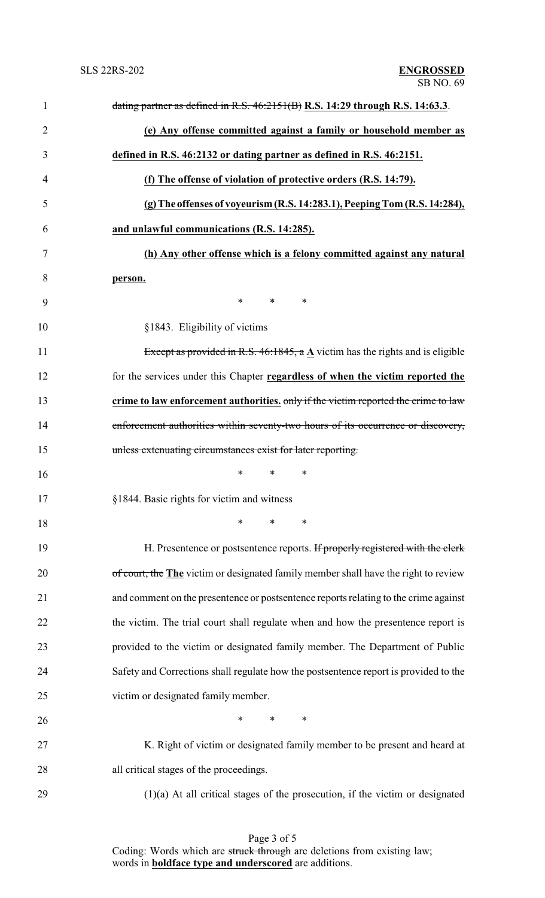| $\mathbf{1}$   | dating partner as defined in R.S. $46:2151(B)$ R.S. 14:29 through R.S. 14:63.3.             |
|----------------|---------------------------------------------------------------------------------------------|
| $\overline{2}$ | (e) Any offense committed against a family or household member as                           |
| 3              | defined in R.S. 46:2132 or dating partner as defined in R.S. 46:2151.                       |
| $\overline{4}$ | (f) The offense of violation of protective orders (R.S. 14:79).                             |
| 5              | (g) The offenses of voyeurism (R.S. 14:283.1), Peeping Tom (R.S. 14:284),                   |
| 6              | and unlawful communications (R.S. 14:285).                                                  |
| 7              | (h) Any other offense which is a felony committed against any natural                       |
| 8              | person.                                                                                     |
| 9              | $\ast$<br>$\ast$<br>∗                                                                       |
| 10             | §1843. Eligibility of victims                                                               |
| 11             | Except as provided in R.S. 46:1845, a $\underline{A}$ victim has the rights and is eligible |
| 12             | for the services under this Chapter regardless of when the victim reported the              |
| 13             | crime to law enforcement authorities, only if the victim reported the crime to law          |
| 14             | enforcement authorities within seventy-two hours of its occurrence or discovery,            |
| 15             | unless extenuating circumstances exist for later reporting.                                 |
| 16             | ∗<br>∗<br>∗                                                                                 |
| 17             | §1844. Basic rights for victim and witness                                                  |
| 18             | $\ast$<br>$\ast$<br>∗                                                                       |
| 19             | H. Presentence or postsentence reports. If properly registered with the clerk               |
| 20             | of court, the The victim or designated family member shall have the right to review         |
| 21             | and comment on the presentence or postsentence reports relating to the crime against        |
| 22             | the victim. The trial court shall regulate when and how the presentence report is           |
| 23             | provided to the victim or designated family member. The Department of Public                |
| 24             | Safety and Corrections shall regulate how the postsentence report is provided to the        |
| 25             | victim or designated family member.                                                         |
| 26             | $\ast$<br>*<br>∗                                                                            |
| 27             | K. Right of victim or designated family member to be present and heard at                   |
| 28             | all critical stages of the proceedings.                                                     |
| 29             | $(1)(a)$ At all critical stages of the prosecution, if the victim or designated             |

Page 3 of 5 Coding: Words which are struck through are deletions from existing law; words in **boldface type and underscored** are additions.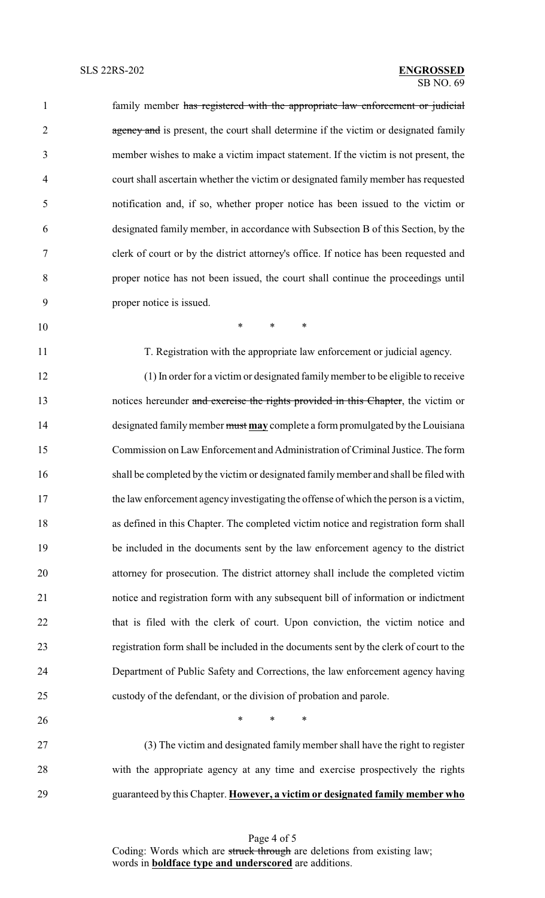1 family member has registered with the appropriate law enforcement or judicial 2 agency and is present, the court shall determine if the victim or designated family member wishes to make a victim impact statement. If the victim is not present, the court shall ascertain whether the victim or designated family member has requested notification and, if so, whether proper notice has been issued to the victim or designated family member, in accordance with Subsection B of this Section, by the clerk of court or by the district attorney's office. If notice has been requested and proper notice has not been issued, the court shall continue the proceedings until proper notice is issued. \* \* \* T. Registration with the appropriate law enforcement or judicial agency. (1) In order for a victim or designated familymember to be eligible to receive 13 notices hereunder and exercise the rights provided in this Chapter, the victim or designated familymember must **may** complete a form promulgated by the Louisiana Commission on Law Enforcement and Administration of Criminal Justice. The form shall be completed by the victim or designated familymember and shall be filed with the law enforcement agency investigating the offense of which the person is a victim, as defined in this Chapter. The completed victim notice and registration form shall be included in the documents sent by the law enforcement agency to the district attorney for prosecution. The district attorney shall include the completed victim notice and registration form with any subsequent bill of information or indictment that is filed with the clerk of court. Upon conviction, the victim notice and registration form shall be included in the documents sent by the clerk of court to the Department of Public Safety and Corrections, the law enforcement agency having custody of the defendant, or the division of probation and parole.  $*$  \* \* \* (3) The victim and designated family member shall have the right to register with the appropriate agency at any time and exercise prospectively the rights

guaranteed by this Chapter. **However, a victim or designated family member who**

Page 4 of 5 Coding: Words which are struck through are deletions from existing law; words in **boldface type and underscored** are additions.